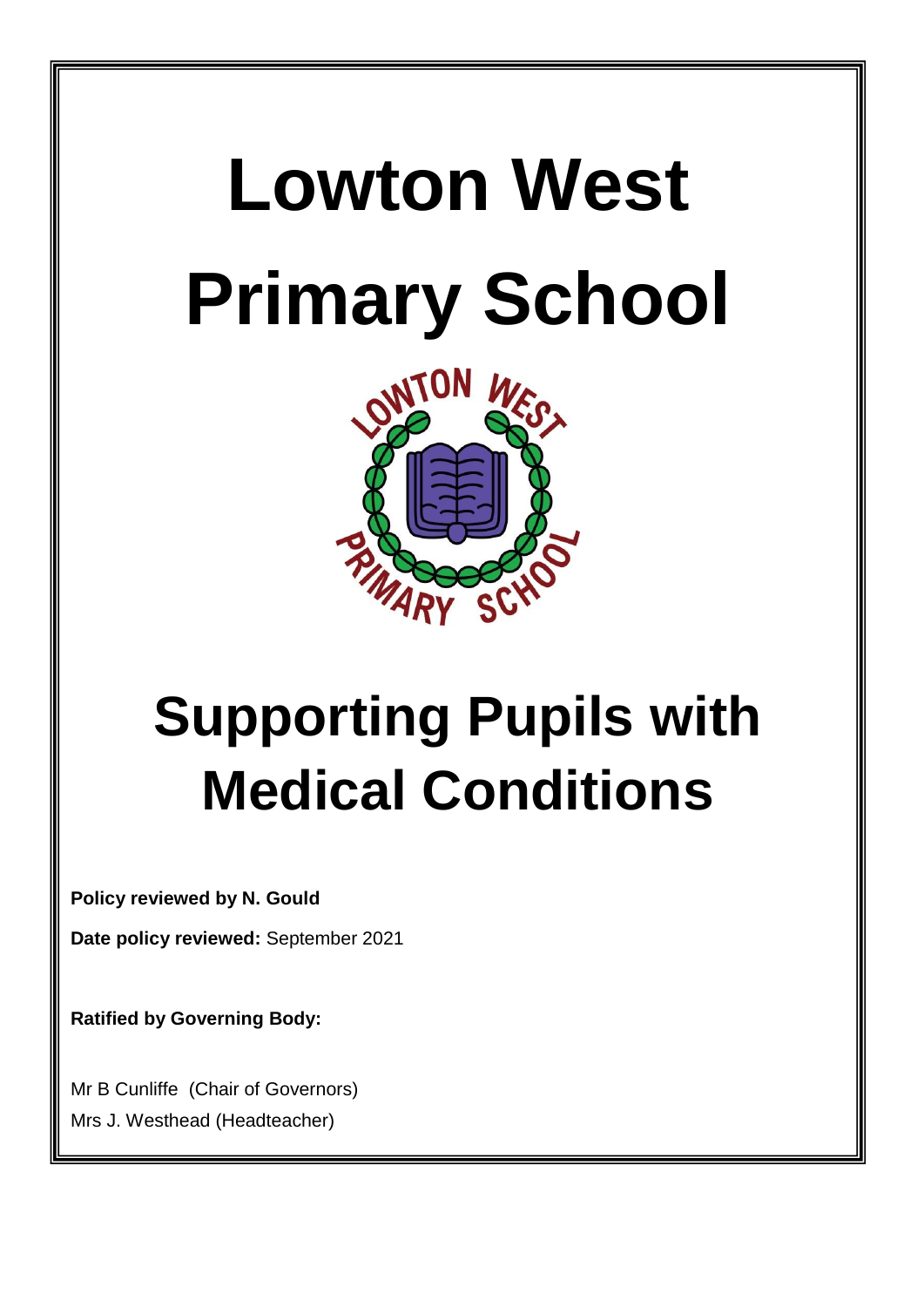# **Lowton West Primary School**



# **Supporting Pupils with Medical Conditions**

**Policy reviewed by N. Gould**

**Date policy reviewed:** September 2021

**Ratified by Governing Body:**

**Review Date**: March 2017

Mr B Cunliffe (Chair of Governors) Mrs J. Westhead (Headteacher)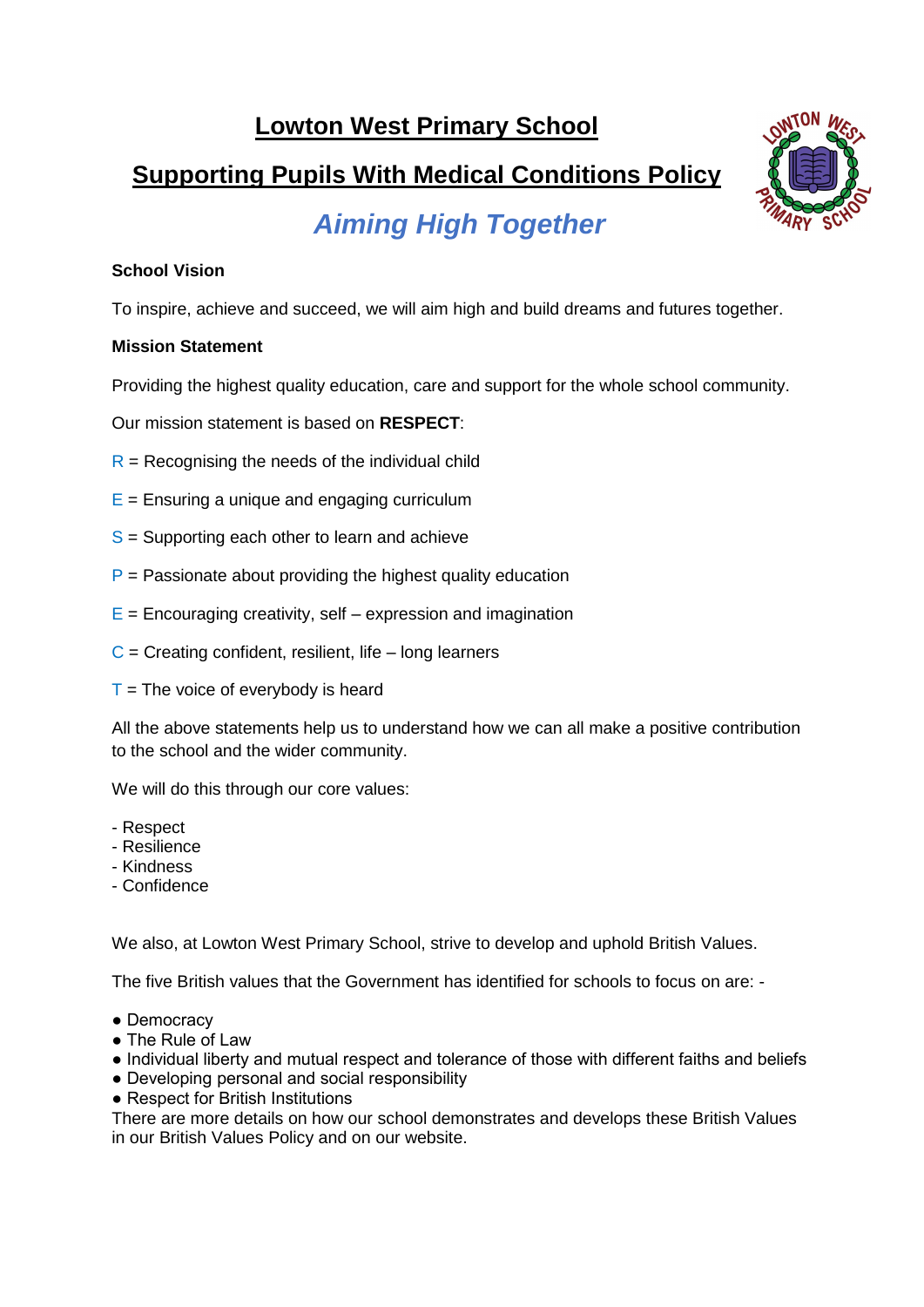## **Lowton West Primary School**

# **Supporting Pupils With Medical Conditions Policy**



# *Aiming High Together*

#### **School Vision**

To inspire, achieve and succeed, we will aim high and build dreams and futures together.

#### **Mission Statement**

Providing the highest quality education, care and support for the whole school community.

Our mission statement is based on **RESPECT**:

- $R$  = Recognising the needs of the individual child
- $E =$  Ensuring a unique and engaging curriculum
- $S =$  Supporting each other to learn and achieve
- $P =$  Passionate about providing the highest quality education
- $E =$  Encouraging creativity, self expression and imagination
- $C =$  Creating confident, resilient, life long learners
- $T =$ The voice of everybody is heard

All the above statements help us to understand how we can all make a positive contribution to the school and the wider community.

We will do this through our core values:

- Respect
- Resilience
- Kindness
- Confidence

We also, at Lowton West Primary School, strive to develop and uphold British Values.

The five British values that the Government has identified for schools to focus on are: -

- Democracy
- The Rule of Law
- Individual liberty and mutual respect and tolerance of those with different faiths and beliefs
- Developing personal and social responsibility
- Respect for British Institutions

There are more details on how our school demonstrates and develops these British Values in our British Values Policy and on our website.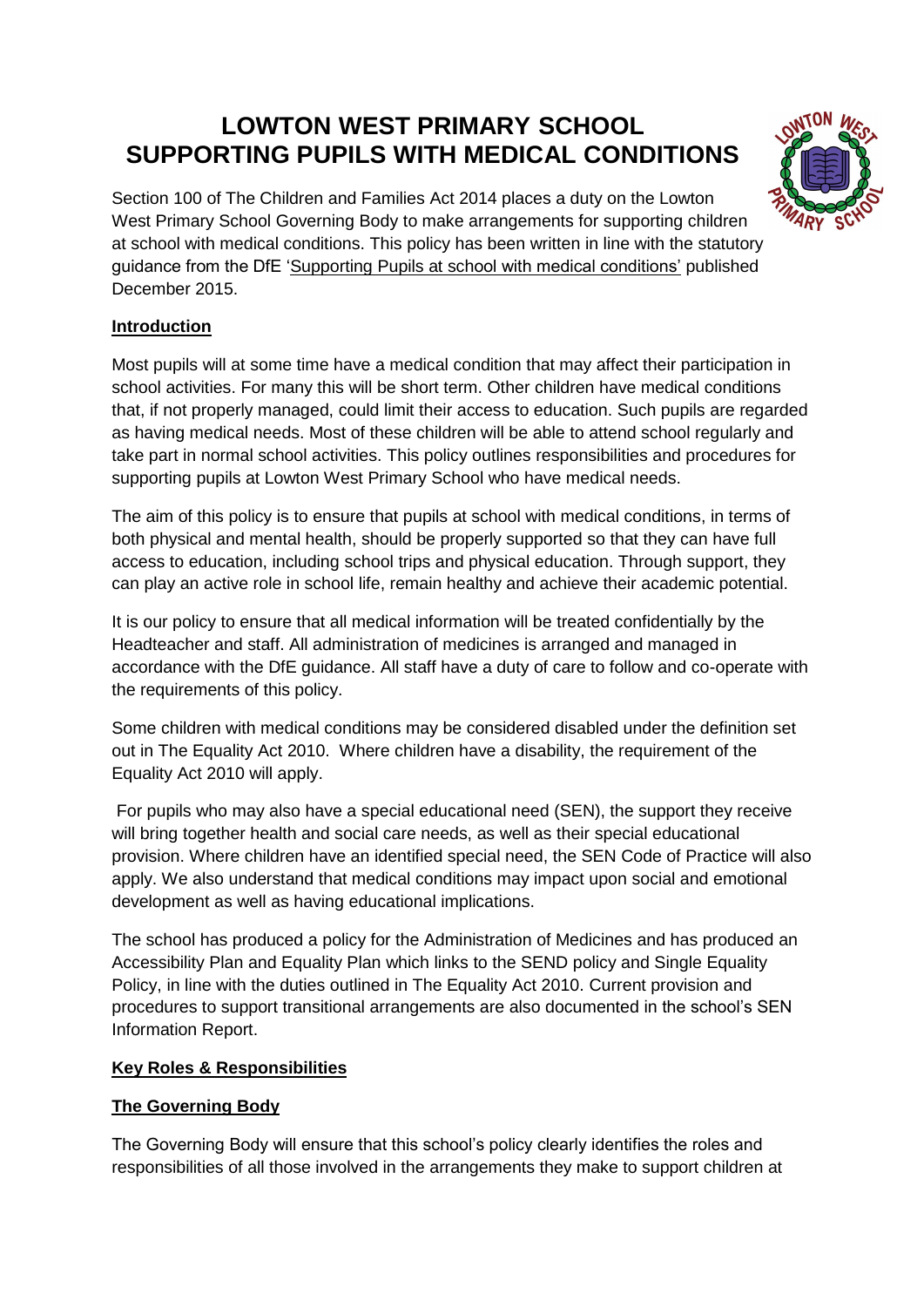## **LOWTON WEST PRIMARY SCHOOL SUPPORTING PUPILS WITH MEDICAL CONDITIONS**



Section 100 of The Children and Families Act 2014 places a duty on the Lowton West Primary School Governing Body to make arrangements for supporting children at school with medical conditions. This policy has been written in line with the statutory guidance from the DfE 'Supporting Pupils at school with medical conditions' published December 2015.

#### **Introduction**

Most pupils will at some time have a medical condition that may affect their participation in school activities. For many this will be short term. Other children have medical conditions that, if not properly managed, could limit their access to education. Such pupils are regarded as having medical needs. Most of these children will be able to attend school regularly and take part in normal school activities. This policy outlines responsibilities and procedures for supporting pupils at Lowton West Primary School who have medical needs.

The aim of this policy is to ensure that pupils at school with medical conditions, in terms of both physical and mental health, should be properly supported so that they can have full access to education, including school trips and physical education. Through support, they can play an active role in school life, remain healthy and achieve their academic potential.

It is our policy to ensure that all medical information will be treated confidentially by the Headteacher and staff. All administration of medicines is arranged and managed in accordance with the DfE guidance. All staff have a duty of care to follow and co-operate with the requirements of this policy.

Some children with medical conditions may be considered disabled under the definition set out in The Equality Act 2010. Where children have a disability, the requirement of the Equality Act 2010 will apply.

For pupils who may also have a special educational need (SEN), the support they receive will bring together health and social care needs, as well as their special educational provision. Where children have an identified special need, the SEN Code of Practice will also apply. We also understand that medical conditions may impact upon social and emotional development as well as having educational implications.

The school has produced a policy for the Administration of Medicines and has produced an Accessibility Plan and Equality Plan which links to the SEND policy and Single Equality Policy, in line with the duties outlined in The Equality Act 2010. Current provision and procedures to support transitional arrangements are also documented in the school's SEN Information Report.

#### **Key Roles & Responsibilities**

#### **The Governing Body**

The Governing Body will ensure that this school's policy clearly identifies the roles and responsibilities of all those involved in the arrangements they make to support children at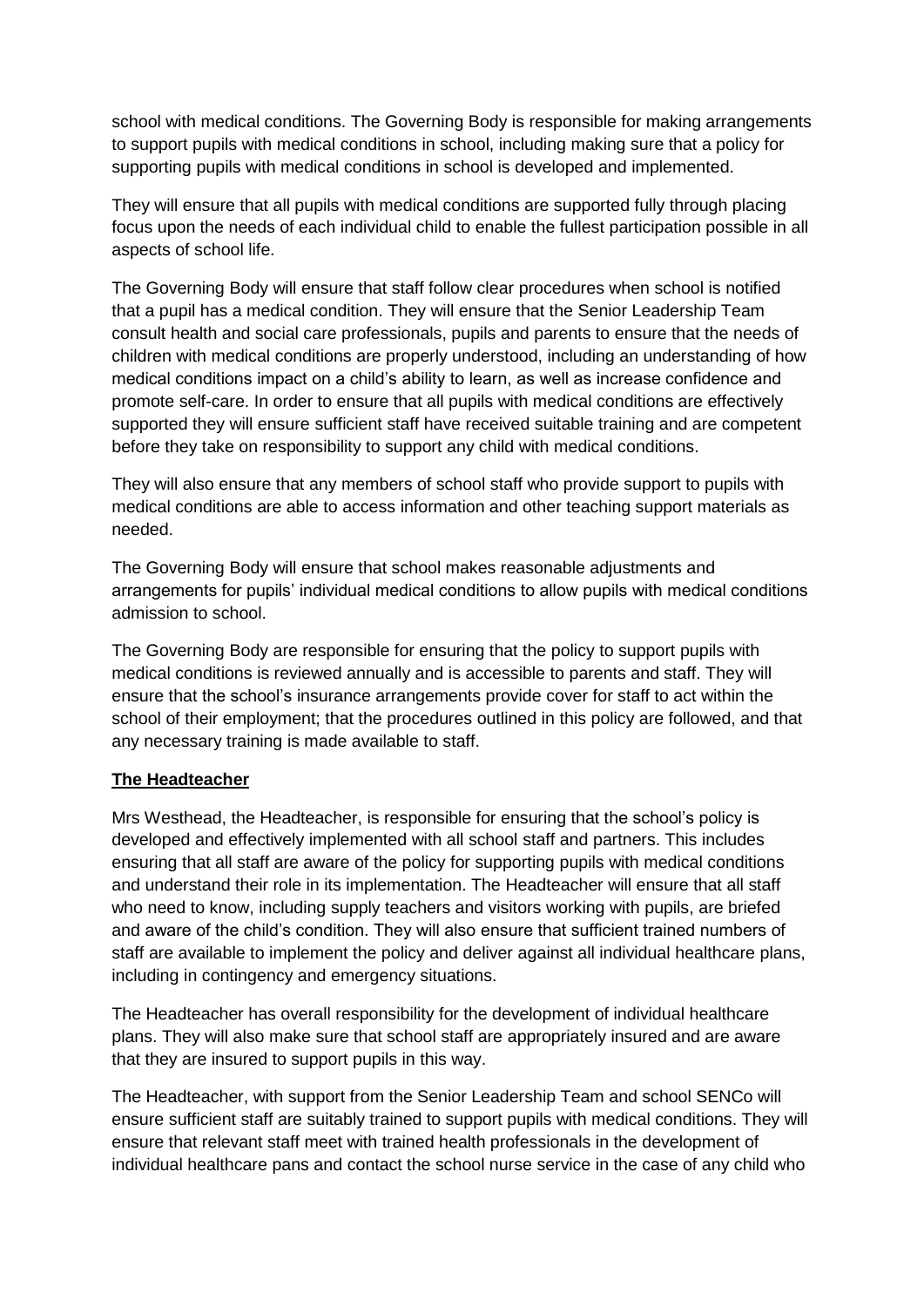school with medical conditions. The Governing Body is responsible for making arrangements to support pupils with medical conditions in school, including making sure that a policy for supporting pupils with medical conditions in school is developed and implemented.

They will ensure that all pupils with medical conditions are supported fully through placing focus upon the needs of each individual child to enable the fullest participation possible in all aspects of school life.

The Governing Body will ensure that staff follow clear procedures when school is notified that a pupil has a medical condition. They will ensure that the Senior Leadership Team consult health and social care professionals, pupils and parents to ensure that the needs of children with medical conditions are properly understood, including an understanding of how medical conditions impact on a child's ability to learn, as well as increase confidence and promote self-care. In order to ensure that all pupils with medical conditions are effectively supported they will ensure sufficient staff have received suitable training and are competent before they take on responsibility to support any child with medical conditions.

They will also ensure that any members of school staff who provide support to pupils with medical conditions are able to access information and other teaching support materials as needed.

The Governing Body will ensure that school makes reasonable adjustments and arrangements for pupils' individual medical conditions to allow pupils with medical conditions admission to school.

The Governing Body are responsible for ensuring that the policy to support pupils with medical conditions is reviewed annually and is accessible to parents and staff. They will ensure that the school's insurance arrangements provide cover for staff to act within the school of their employment; that the procedures outlined in this policy are followed, and that any necessary training is made available to staff.

#### **The Headteacher**

Mrs Westhead, the Headteacher, is responsible for ensuring that the school's policy is developed and effectively implemented with all school staff and partners. This includes ensuring that all staff are aware of the policy for supporting pupils with medical conditions and understand their role in its implementation. The Headteacher will ensure that all staff who need to know, including supply teachers and visitors working with pupils, are briefed and aware of the child's condition. They will also ensure that sufficient trained numbers of staff are available to implement the policy and deliver against all individual healthcare plans, including in contingency and emergency situations.

The Headteacher has overall responsibility for the development of individual healthcare plans. They will also make sure that school staff are appropriately insured and are aware that they are insured to support pupils in this way.

The Headteacher, with support from the Senior Leadership Team and school SENCo will ensure sufficient staff are suitably trained to support pupils with medical conditions. They will ensure that relevant staff meet with trained health professionals in the development of individual healthcare pans and contact the school nurse service in the case of any child who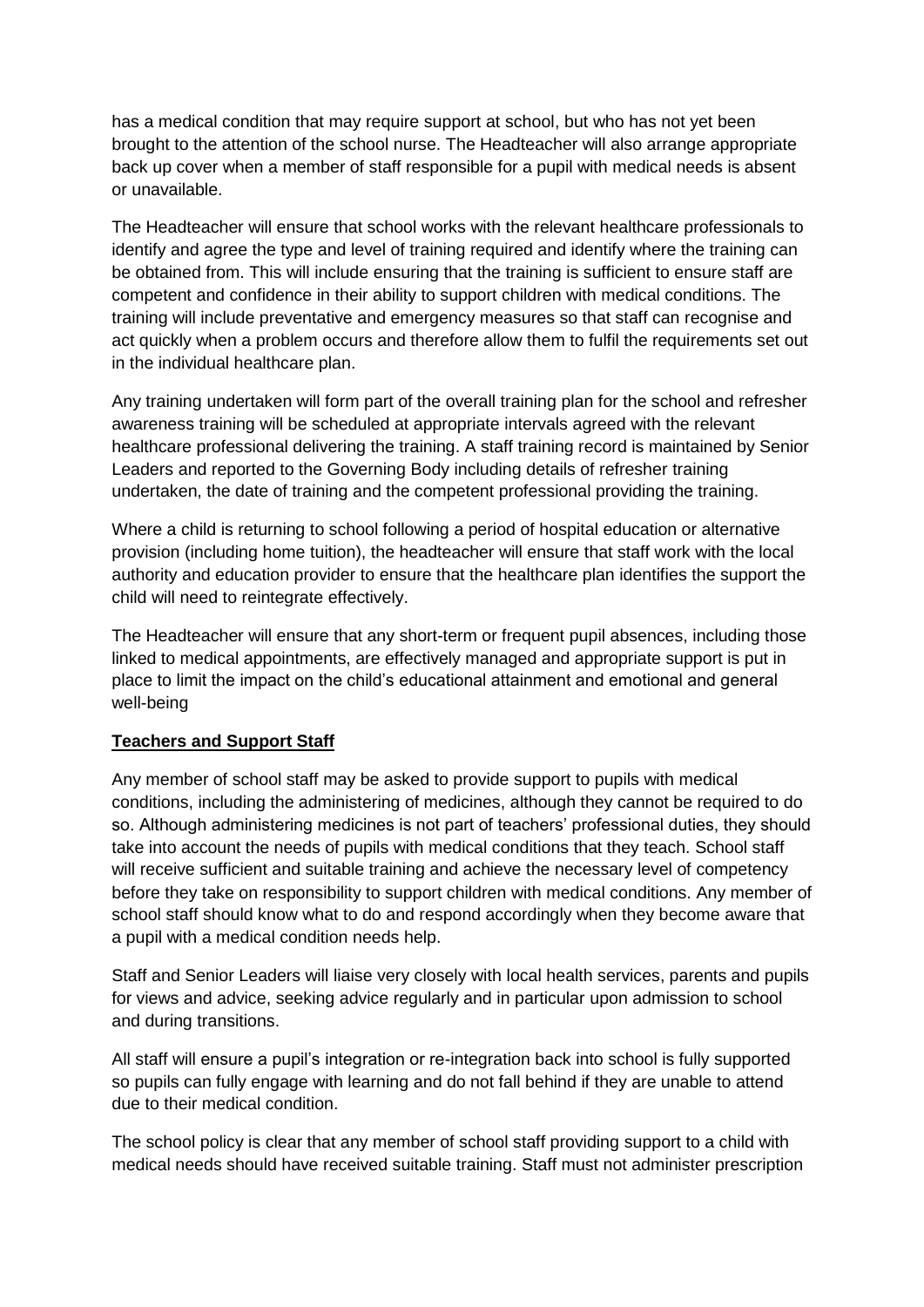has a medical condition that may require support at school, but who has not yet been brought to the attention of the school nurse. The Headteacher will also arrange appropriate back up cover when a member of staff responsible for a pupil with medical needs is absent or unavailable.

The Headteacher will ensure that school works with the relevant healthcare professionals to identify and agree the type and level of training required and identify where the training can be obtained from. This will include ensuring that the training is sufficient to ensure staff are competent and confidence in their ability to support children with medical conditions. The training will include preventative and emergency measures so that staff can recognise and act quickly when a problem occurs and therefore allow them to fulfil the requirements set out in the individual healthcare plan.

Any training undertaken will form part of the overall training plan for the school and refresher awareness training will be scheduled at appropriate intervals agreed with the relevant healthcare professional delivering the training. A staff training record is maintained by Senior Leaders and reported to the Governing Body including details of refresher training undertaken, the date of training and the competent professional providing the training.

Where a child is returning to school following a period of hospital education or alternative provision (including home tuition), the headteacher will ensure that staff work with the local authority and education provider to ensure that the healthcare plan identifies the support the child will need to reintegrate effectively.

The Headteacher will ensure that any short-term or frequent pupil absences, including those linked to medical appointments, are effectively managed and appropriate support is put in place to limit the impact on the child's educational attainment and emotional and general well-being

#### **Teachers and Support Staff**

Any member of school staff may be asked to provide support to pupils with medical conditions, including the administering of medicines, although they cannot be required to do so. Although administering medicines is not part of teachers' professional duties, they should take into account the needs of pupils with medical conditions that they teach. School staff will receive sufficient and suitable training and achieve the necessary level of competency before they take on responsibility to support children with medical conditions. Any member of school staff should know what to do and respond accordingly when they become aware that a pupil with a medical condition needs help.

Staff and Senior Leaders will liaise very closely with local health services, parents and pupils for views and advice, seeking advice regularly and in particular upon admission to school and during transitions.

All staff will ensure a pupil's integration or re-integration back into school is fully supported so pupils can fully engage with learning and do not fall behind if they are unable to attend due to their medical condition.

The school policy is clear that any member of school staff providing support to a child with medical needs should have received suitable training. Staff must not administer prescription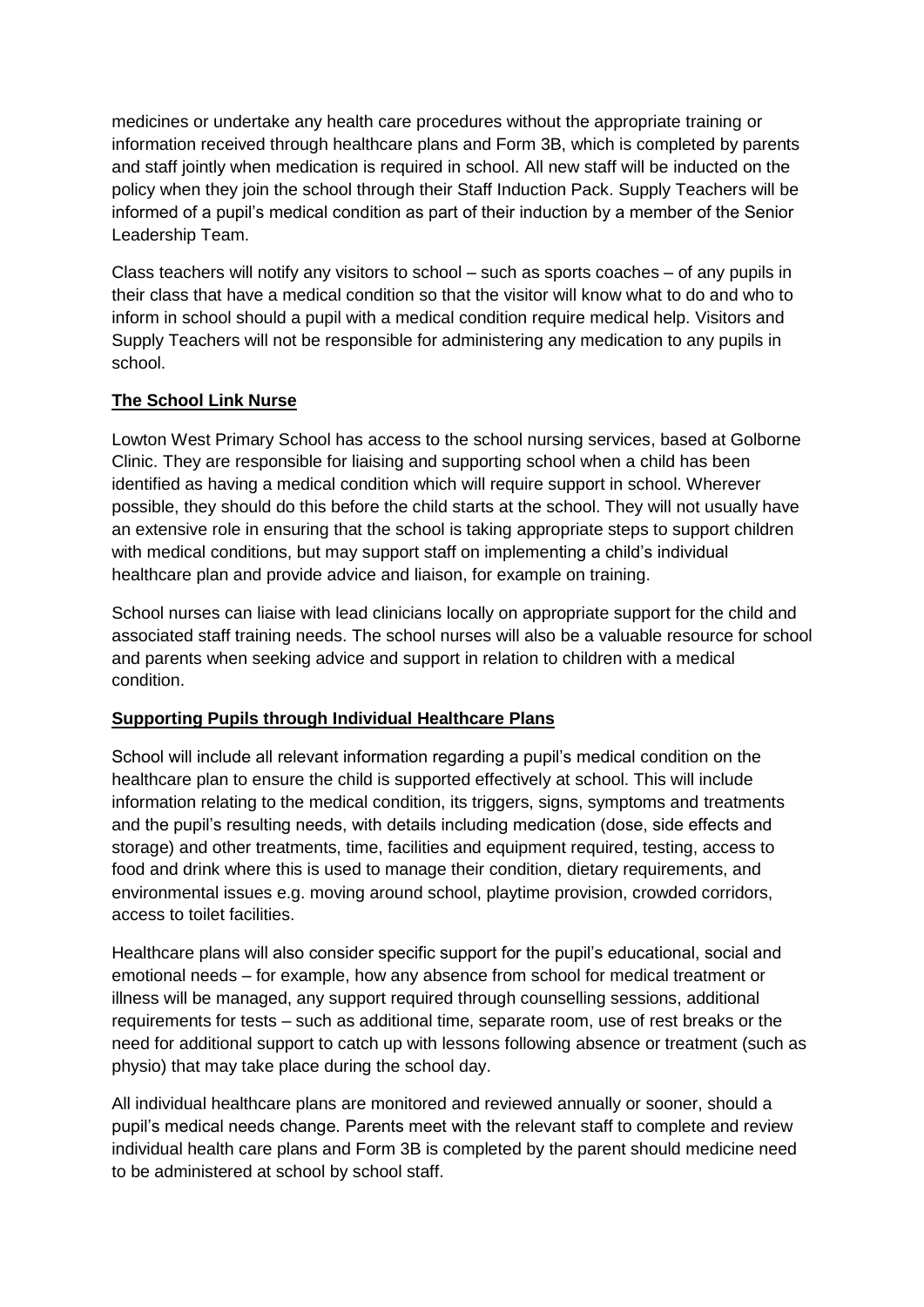medicines or undertake any health care procedures without the appropriate training or information received through healthcare plans and Form 3B, which is completed by parents and staff jointly when medication is required in school. All new staff will be inducted on the policy when they join the school through their Staff Induction Pack. Supply Teachers will be informed of a pupil's medical condition as part of their induction by a member of the Senior Leadership Team.

Class teachers will notify any visitors to school – such as sports coaches – of any pupils in their class that have a medical condition so that the visitor will know what to do and who to inform in school should a pupil with a medical condition require medical help. Visitors and Supply Teachers will not be responsible for administering any medication to any pupils in school.

#### **The School Link Nurse**

Lowton West Primary School has access to the school nursing services, based at Golborne Clinic. They are responsible for liaising and supporting school when a child has been identified as having a medical condition which will require support in school. Wherever possible, they should do this before the child starts at the school. They will not usually have an extensive role in ensuring that the school is taking appropriate steps to support children with medical conditions, but may support staff on implementing a child's individual healthcare plan and provide advice and liaison, for example on training.

School nurses can liaise with lead clinicians locally on appropriate support for the child and associated staff training needs. The school nurses will also be a valuable resource for school and parents when seeking advice and support in relation to children with a medical condition.

#### **Supporting Pupils through Individual Healthcare Plans**

School will include all relevant information regarding a pupil's medical condition on the healthcare plan to ensure the child is supported effectively at school. This will include information relating to the medical condition, its triggers, signs, symptoms and treatments and the pupil's resulting needs, with details including medication (dose, side effects and storage) and other treatments, time, facilities and equipment required, testing, access to food and drink where this is used to manage their condition, dietary requirements, and environmental issues e.g. moving around school, playtime provision, crowded corridors, access to toilet facilities.

Healthcare plans will also consider specific support for the pupil's educational, social and emotional needs – for example, how any absence from school for medical treatment or illness will be managed, any support required through counselling sessions, additional requirements for tests – such as additional time, separate room, use of rest breaks or the need for additional support to catch up with lessons following absence or treatment (such as physio) that may take place during the school day.

All individual healthcare plans are monitored and reviewed annually or sooner, should a pupil's medical needs change. Parents meet with the relevant staff to complete and review individual health care plans and Form 3B is completed by the parent should medicine need to be administered at school by school staff.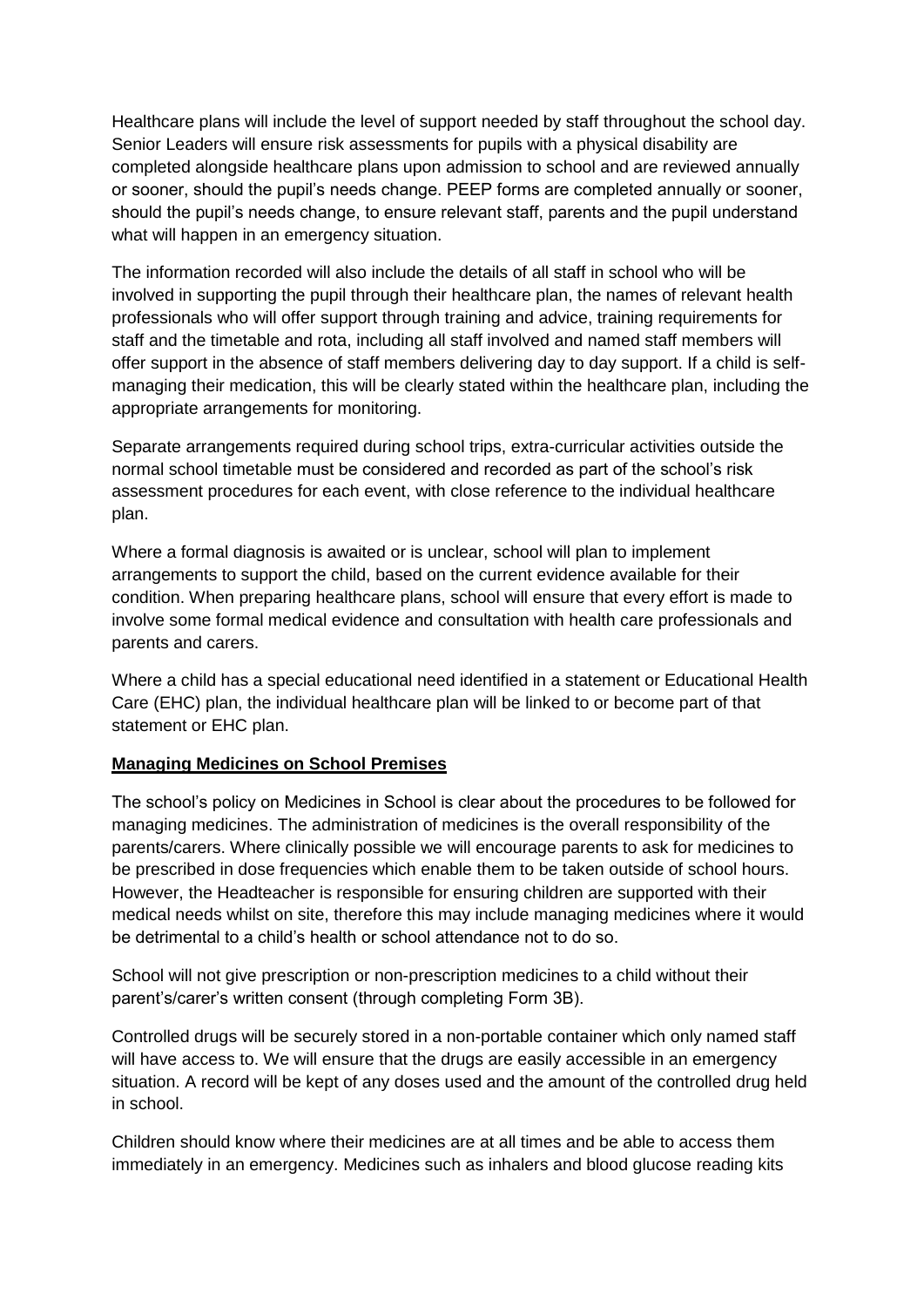Healthcare plans will include the level of support needed by staff throughout the school day. Senior Leaders will ensure risk assessments for pupils with a physical disability are completed alongside healthcare plans upon admission to school and are reviewed annually or sooner, should the pupil's needs change. PEEP forms are completed annually or sooner, should the pupil's needs change, to ensure relevant staff, parents and the pupil understand what will happen in an emergency situation.

The information recorded will also include the details of all staff in school who will be involved in supporting the pupil through their healthcare plan, the names of relevant health professionals who will offer support through training and advice, training requirements for staff and the timetable and rota, including all staff involved and named staff members will offer support in the absence of staff members delivering day to day support. If a child is selfmanaging their medication, this will be clearly stated within the healthcare plan, including the appropriate arrangements for monitoring.

Separate arrangements required during school trips, extra-curricular activities outside the normal school timetable must be considered and recorded as part of the school's risk assessment procedures for each event, with close reference to the individual healthcare plan.

Where a formal diagnosis is awaited or is unclear, school will plan to implement arrangements to support the child, based on the current evidence available for their condition. When preparing healthcare plans, school will ensure that every effort is made to involve some formal medical evidence and consultation with health care professionals and parents and carers.

Where a child has a special educational need identified in a statement or Educational Health Care (EHC) plan, the individual healthcare plan will be linked to or become part of that statement or EHC plan.

#### **Managing Medicines on School Premises**

The school's policy on Medicines in School is clear about the procedures to be followed for managing medicines. The administration of medicines is the overall responsibility of the parents/carers. Where clinically possible we will encourage parents to ask for medicines to be prescribed in dose frequencies which enable them to be taken outside of school hours. However, the Headteacher is responsible for ensuring children are supported with their medical needs whilst on site, therefore this may include managing medicines where it would be detrimental to a child's health or school attendance not to do so.

School will not give prescription or non-prescription medicines to a child without their parent's/carer's written consent (through completing Form 3B).

Controlled drugs will be securely stored in a non-portable container which only named staff will have access to. We will ensure that the drugs are easily accessible in an emergency situation. A record will be kept of any doses used and the amount of the controlled drug held in school.

Children should know where their medicines are at all times and be able to access them immediately in an emergency. Medicines such as inhalers and blood glucose reading kits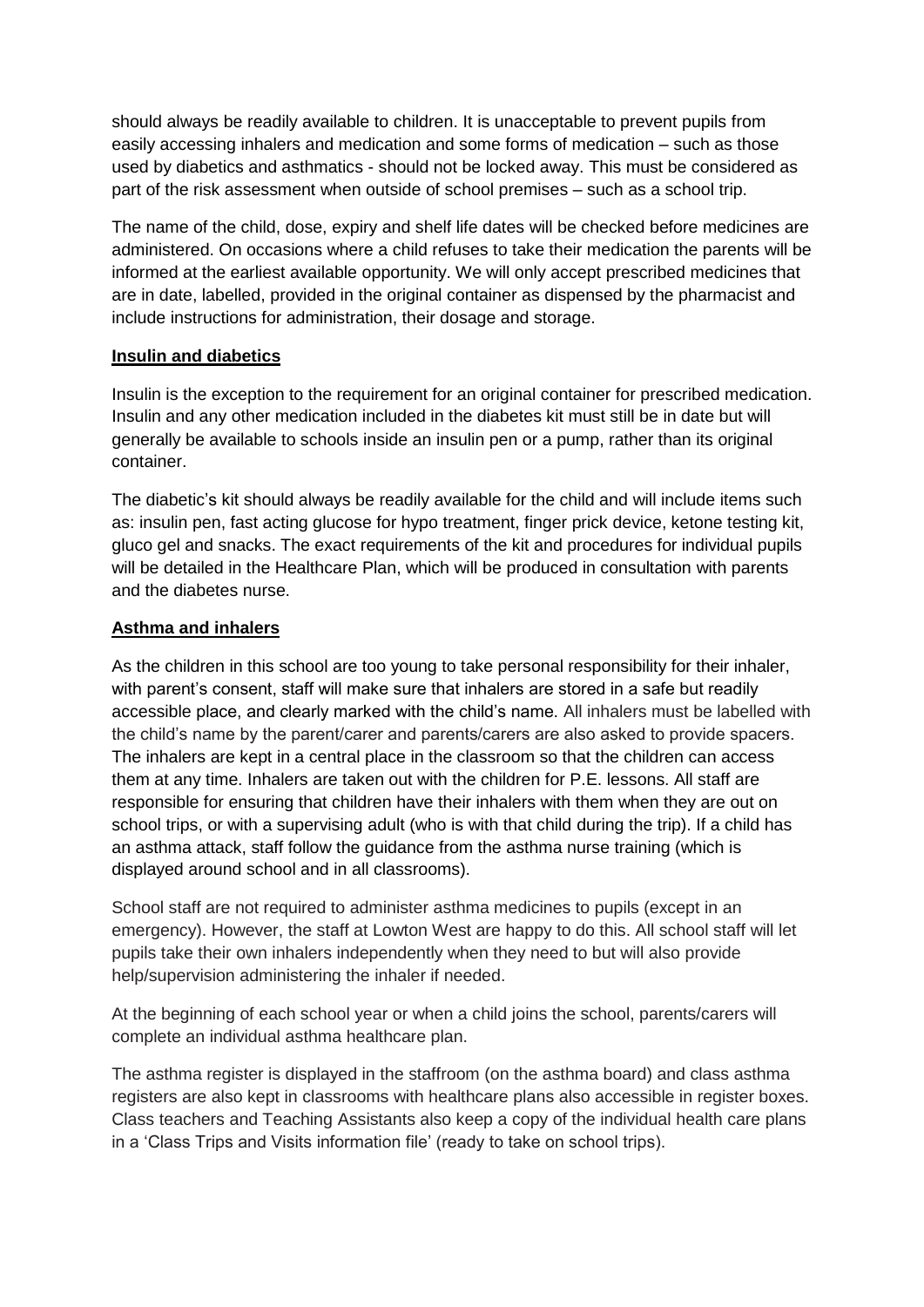should always be readily available to children. It is unacceptable to prevent pupils from easily accessing inhalers and medication and some forms of medication – such as those used by diabetics and asthmatics - should not be locked away. This must be considered as part of the risk assessment when outside of school premises – such as a school trip.

The name of the child, dose, expiry and shelf life dates will be checked before medicines are administered. On occasions where a child refuses to take their medication the parents will be informed at the earliest available opportunity. We will only accept prescribed medicines that are in date, labelled, provided in the original container as dispensed by the pharmacist and include instructions for administration, their dosage and storage.

#### **Insulin and diabetics**

Insulin is the exception to the requirement for an original container for prescribed medication. Insulin and any other medication included in the diabetes kit must still be in date but will generally be available to schools inside an insulin pen or a pump, rather than its original container.

The diabetic's kit should always be readily available for the child and will include items such as: insulin pen, fast acting glucose for hypo treatment, finger prick device, ketone testing kit, gluco gel and snacks. The exact requirements of the kit and procedures for individual pupils will be detailed in the Healthcare Plan, which will be produced in consultation with parents and the diabetes nurse.

#### **Asthma and inhalers**

As the children in this school are too young to take personal responsibility for their inhaler, with parent's consent, staff will make sure that inhalers are stored in a safe but readily accessible place, and clearly marked with the child's name. All inhalers must be labelled with the child's name by the parent/carer and parents/carers are also asked to provide spacers. The inhalers are kept in a central place in the classroom so that the children can access them at any time. Inhalers are taken out with the children for P.E. lessons. All staff are responsible for ensuring that children have their inhalers with them when they are out on school trips, or with a supervising adult (who is with that child during the trip). If a child has an asthma attack, staff follow the guidance from the asthma nurse training (which is displayed around school and in all classrooms).

School staff are not required to administer asthma medicines to pupils (except in an emergency). However, the staff at Lowton West are happy to do this. All school staff will let pupils take their own inhalers independently when they need to but will also provide help/supervision administering the inhaler if needed.

At the beginning of each school year or when a child joins the school, parents/carers will complete an individual asthma healthcare plan.

The asthma register is displayed in the staffroom (on the asthma board) and class asthma registers are also kept in classrooms with healthcare plans also accessible in register boxes. Class teachers and Teaching Assistants also keep a copy of the individual health care plans in a 'Class Trips and Visits information file' (ready to take on school trips).